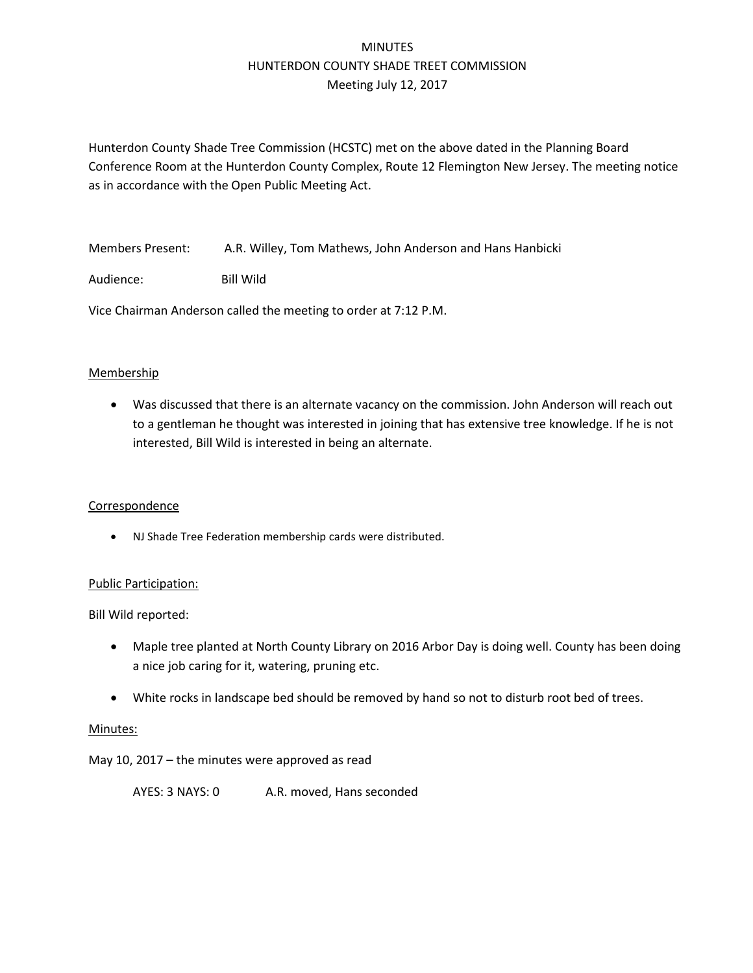# MINUTES HUNTERDON COUNTY SHADE TREET COMMISSION Meeting July 12, 2017

Hunterdon County Shade Tree Commission (HCSTC) met on the above dated in the Planning Board Conference Room at the Hunterdon County Complex, Route 12 Flemington New Jersey. The meeting notice as in accordance with the Open Public Meeting Act.

Members Present: A.R. Willey, Tom Mathews, John Anderson and Hans Hanbicki

Audience: Bill Wild

Vice Chairman Anderson called the meeting to order at 7:12 P.M.

## **Membership**

• Was discussed that there is an alternate vacancy on the commission. John Anderson will reach out to a gentleman he thought was interested in joining that has extensive tree knowledge. If he is not interested, Bill Wild is interested in being an alternate.

## Correspondence

• NJ Shade Tree Federation membership cards were distributed.

## Public Participation:

Bill Wild reported:

- Maple tree planted at North County Library on 2016 Arbor Day is doing well. County has been doing a nice job caring for it, watering, pruning etc.
- White rocks in landscape bed should be removed by hand so not to disturb root bed of trees.

## Minutes:

May 10, 2017 – the minutes were approved as read

AYES: 3 NAYS: 0 A.R. moved, Hans seconded